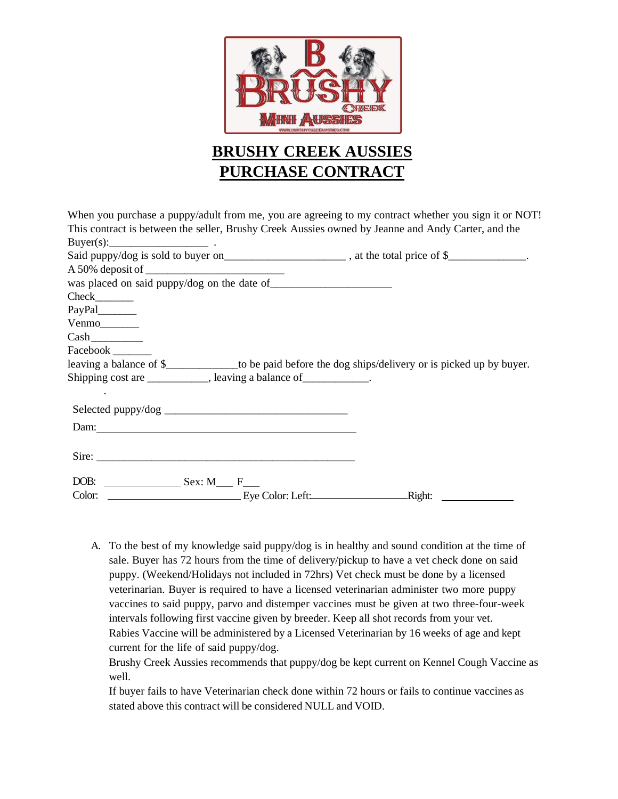

# **BRUSHY CREEK AUSSIES PURCHASE CONTRACT**

| When you purchase a puppy/adult from me, you are agreeing to my contract whether you sign it or NOT!        |  |
|-------------------------------------------------------------------------------------------------------------|--|
| This contract is between the seller, Brushy Creek Aussies owned by Jeanne and Andy Carter, and the          |  |
| $Buyer(s):$ .                                                                                               |  |
| Said puppy/dog is sold to buyer on__________________________, at the total price of \$_____________.        |  |
|                                                                                                             |  |
|                                                                                                             |  |
| $Check$ <sub>_________</sub>                                                                                |  |
| PayPal_______                                                                                               |  |
| Venmo                                                                                                       |  |
|                                                                                                             |  |
| Facebook _______                                                                                            |  |
| leaving a balance of \$__________________to be paid before the dog ships/delivery or is picked up by buyer. |  |
| Shipping cost are ____________, leaving a balance of ___________.                                           |  |
|                                                                                                             |  |
|                                                                                                             |  |
|                                                                                                             |  |
|                                                                                                             |  |
| Sire:                                                                                                       |  |
|                                                                                                             |  |
|                                                                                                             |  |

A. To the best of my knowledge said puppy/dog is in healthy and sound condition at the time of sale. Buyer has 72 hours from the time of delivery/pickup to have a vet check done on said puppy. (Weekend/Holidays not included in 72hrs) Vet check must be done by a licensed veterinarian. Buyer is required to have a licensed veterinarian administer two more puppy vaccines to said puppy, parvo and distemper vaccines must be given at two three-four-week intervals following first vaccine given by breeder. Keep all shot records from your vet. Rabies Vaccine will be administered by a Licensed Veterinarian by 16 weeks of age and kept current for the life of said puppy/dog.

Brushy Creek Aussies recommends that puppy/dog be kept current on Kennel Cough Vaccine as well.

If buyer fails to have Veterinarian check done within 72 hours or fails to continue vaccines as stated above this contract will be considered NULL and VOID.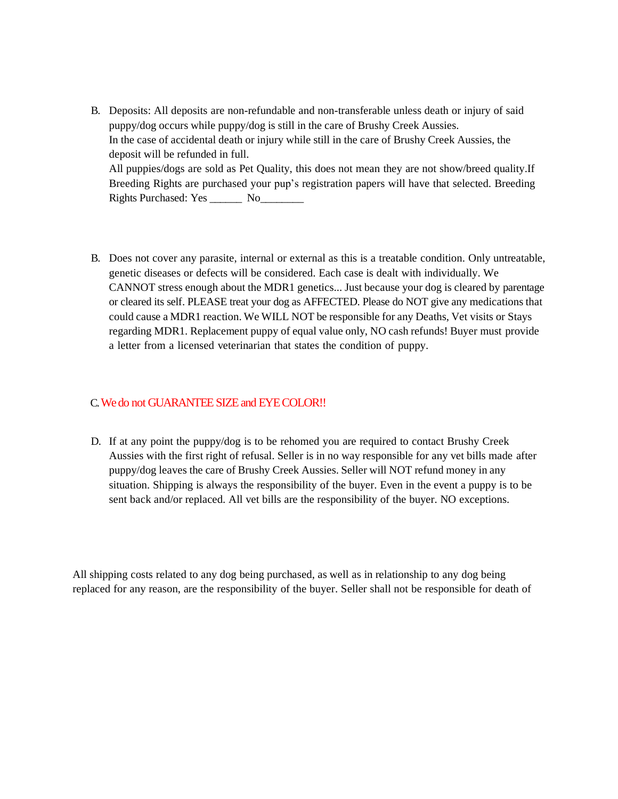- B. Deposits: All deposits are non-refundable and non-transferable unless death or injury of said puppy/dog occurs while puppy/dog is still in the care of Brushy Creek Aussies. In the case of accidental death or injury while still in the care of Brushy Creek Aussies, the deposit will be refunded in full. All puppies/dogs are sold as Pet Quality, this does not mean they are not show/breed quality.If Breeding Rights are purchased your pup's registration papers will have that selected. Breeding Rights Purchased: Yes \_\_\_\_\_\_ No\_\_\_\_\_\_\_\_
- B. Does not cover any parasite, internal or external as this is a treatable condition. Only untreatable, genetic diseases or defects will be considered. Each case is dealt with individually. We CANNOT stress enough about the MDR1 genetics... Just because your dog is cleared by parentage or cleared its self. PLEASE treat your dog as AFFECTED. Please do NOT give any medications that could cause a MDR1 reaction. We WILL NOT be responsible for any Deaths, Vet visits or Stays regarding MDR1. Replacement puppy of equal value only, NO cash refunds! Buyer must provide a letter from a licensed veterinarian that states the condition of puppy.

# C. We do not GUARANTEE SIZE and EYE COLOR!!

D. If at any point the puppy/dog is to be rehomed you are required to contact Brushy Creek Aussies with the first right of refusal. Seller is in no way responsible for any vet bills made after puppy/dog leaves the care of Brushy Creek Aussies. Seller will NOT refund money in any situation. Shipping is always the responsibility of the buyer. Even in the event a puppy is to be sent back and/or replaced. All vet bills are the responsibility of the buyer. NO exceptions.

All shipping costs related to any dog being purchased, as well as in relationship to any dog being replaced for any reason, are the responsibility of the buyer. Seller shall not be responsible for death of